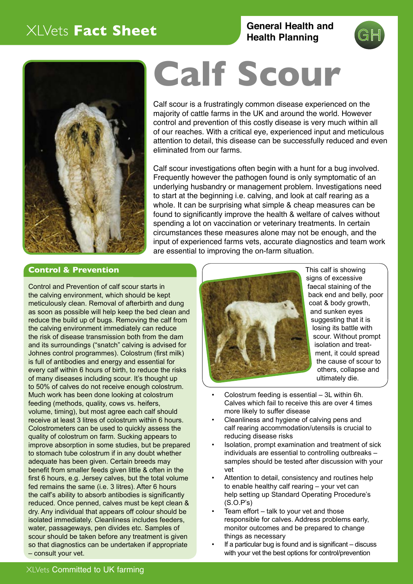# XLVets **Fact Sheet**

**General Health and Health Planning** 





# **Calf Scour**

Calf scour is a frustratingly common disease experienced on the majority of cattle farms in the UK and around the world. However control and prevention of this costly disease is very much within all of our reaches. With a critical eye, experienced input and meticulous attention to detail, this disease can be successfully reduced and even eliminated from our farms.

Calf scour investigations often begin with a hunt for a bug involved. Frequently however the pathogen found is only symptomatic of an underlying husbandry or management problem. Investigations need to start at the beginning i.e. calving, and look at calf rearing as a whole. It can be surprising what simple & cheap measures can be found to significantly improve the health & welfare of calves without spending a lot on vaccination or veterinary treatments. In certain circumstances these measures alone may not be enough, and the input of experienced farms vets, accurate diagnostics and team work are essential to improving the on-farm situation.

#### **Control & Prevention**

Control and Prevention of calf scour starts in the calving environment, which should be kept meticulously clean. Removal of afterbirth and dung as soon as possible will help keep the bed clean and reduce the build up of bugs. Removing the calf from the calving environment immediately can reduce the risk of disease transmission both from the dam and its surroundings ("snatch" calving is advised for Johnes control programmes). Colostrum (first milk) is full of antibodies and energy and essential for every calf within 6 hours of birth, to reduce the risks of many diseases including scour. It's thought up to 50% of calves do not receive enough colostrum. Much work has been done looking at colostrum feeding (methods, quality, cows vs. heifers, volume, timing), but most agree each calf should receive at least 3 litres of colostrum within 6 hours. Colostrometers can be used to quickly assess the quality of colostrum on farm. Sucking appears to improve absorption in some studies, but be prepared to stomach tube colostrum if in any doubt whether adequate has been given. Certain breeds may benefit from smaller feeds given little & often in the first 6 hours, e.g. Jersey calves, but the total volume fed remains the same (i.e. 3 litres). After 6 hours the calf's ability to absorb antibodies is significantly reduced. Once penned, calves must be kept clean & dry. Any individual that appears off colour should be isolated immediately. Cleanliness includes feeders, water, passageways, pen divides etc. Samples of scour should be taken before any treatment is given so that diagnostics can be undertaken if appropriate – consult your vet.



This calf is showing signs of excessive faecal staining of the back end and belly, poor coat & body growth, and sunken eyes suggesting that it is losing its battle with scour. Without prompt isolation and treatment, it could spread the cause of scour to others, collapse and ultimately die.

- Colostrum feeding is essential 3L within 6h. Calves which fail to receive this are over 4 times more likely to suffer disease
- Cleanliness and hygiene of calving pens and calf rearing accommodation/utensils is crucial to reducing disease risks
- Isolation, prompt examination and treatment of sick individuals are essential to controlling outbreaks – samples should be tested after discussion with your vet
- Attention to detail, consistency and routines help to enable healthy calf rearing – your vet can help setting up Standard Operating Procedure's (S.O.P's)
- Team effort talk to your vet and those responsible for calves. Address problems early, monitor outcomes and be prepared to change things as necessary
- If a particular bug is found and is significant discuss with your vet the best options for control/prevention